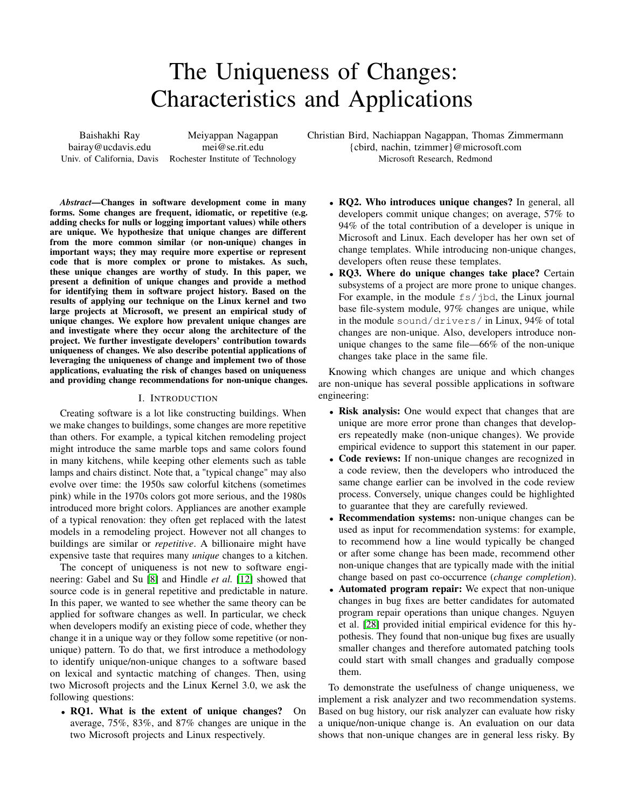# The Uniqueness of Changes: Characteristics and Applications

Baishakhi Ray bairay@ucdavis.edu Univ. of California, Davis

Meiyappan Nagappan mei@se.rit.edu Rochester Institute of Technology

*Abstract*—Changes in software development come in many forms. Some changes are frequent, idiomatic, or repetitive (e.g. adding checks for nulls or logging important values) while others are unique. We hypothesize that unique changes are different from the more common similar (or non-unique) changes in important ways; they may require more expertise or represent code that is more complex or prone to mistakes. As such, these unique changes are worthy of study. In this paper, we present a definition of unique changes and provide a method for identifying them in software project history. Based on the results of applying our technique on the Linux kernel and two large projects at Microsoft, we present an empirical study of unique changes. We explore how prevalent unique changes are and investigate where they occur along the architecture of the project. We further investigate developers' contribution towards uniqueness of changes. We also describe potential applications of leveraging the uniqueness of change and implement two of those applications, evaluating the risk of changes based on uniqueness and providing change recommendations for non-unique changes.

## I. INTRODUCTION

Creating software is a lot like constructing buildings. When we make changes to buildings, some changes are more repetitive than others. For example, a typical kitchen remodeling project might introduce the same marble tops and same colors found in many kitchens, while keeping other elements such as table lamps and chairs distinct. Note that, a "typical change" may also evolve over time: the 1950s saw colorful kitchens (sometimes pink) while in the 1970s colors got more serious, and the 1980s introduced more bright colors. Appliances are another example of a typical renovation: they often get replaced with the latest models in a remodeling project. However not all changes to buildings are similar or *repetitive*. A billionaire might have expensive taste that requires many *unique* changes to a kitchen.

The concept of uniqueness is not new to software engineering: Gabel and Su [\[8\]](#page-10-0) and Hindle *et al.* [\[12\]](#page-10-1) showed that source code is in general repetitive and predictable in nature. In this paper, we wanted to see whether the same theory can be applied for software changes as well. In particular, we check when developers modify an existing piece of code, whether they change it in a unique way or they follow some repetitive (or nonunique) pattern. To do that, we first introduce a methodology to identify unique/non-unique changes to a software based on lexical and syntactic matching of changes. Then, using two Microsoft projects and the Linux Kernel 3.0, we ask the following questions:

• RQ1. What is the extent of unique changes? On average, 75%, 83%, and 87% changes are unique in the two Microsoft projects and Linux respectively.

Christian Bird, Nachiappan Nagappan, Thomas Zimmermann {cbird, nachin, tzimmer}@microsoft.com Microsoft Research, Redmond

- RQ2. Who introduces unique changes? In general, all developers commit unique changes; on average, 57% to 94% of the total contribution of a developer is unique in Microsoft and Linux. Each developer has her own set of change templates. While introducing non-unique changes, developers often reuse these templates.
- RQ3. Where do unique changes take place? Certain subsystems of a project are more prone to unique changes. For example, in the module fs/jbd, the Linux journal base file-system module, 97% changes are unique, while in the module sound/drivers/ in Linux, 94% of total changes are non-unique. Also, developers introduce nonunique changes to the same file—66% of the non-unique changes take place in the same file.

Knowing which changes are unique and which changes are non-unique has several possible applications in software engineering:

- Risk analysis: One would expect that changes that are unique are more error prone than changes that developers repeatedly make (non-unique changes). We provide empirical evidence to support this statement in our paper.
- Code reviews: If non-unique changes are recognized in a code review, then the developers who introduced the same change earlier can be involved in the code review process. Conversely, unique changes could be highlighted to guarantee that they are carefully reviewed.
- **Recommendation systems:** non-unique changes can be used as input for recommendation systems: for example, to recommend how a line would typically be changed or after some change has been made, recommend other non-unique changes that are typically made with the initial change based on past co-occurrence (*change completion*).
- Automated program repair: We expect that non-unique changes in bug fixes are better candidates for automated program repair operations than unique changes. Nguyen et al. [\[28\]](#page-10-2) provided initial empirical evidence for this hypothesis. They found that non-unique bug fixes are usually smaller changes and therefore automated patching tools could start with small changes and gradually compose them.

To demonstrate the usefulness of change uniqueness, we implement a risk analyzer and two recommendation systems. Based on bug history, our risk analyzer can evaluate how risky a unique/non-unique change is. An evaluation on our data shows that non-unique changes are in general less risky. By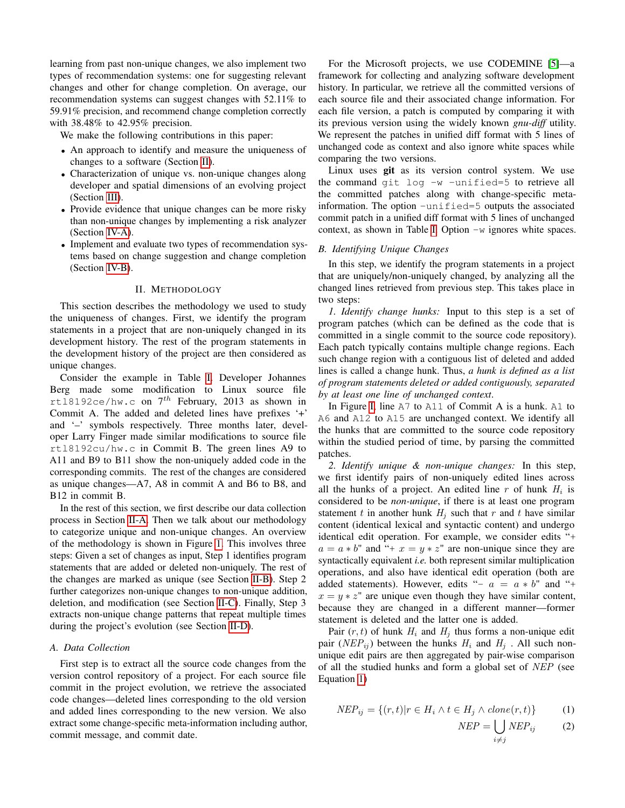learning from past non-unique changes, we also implement two types of recommendation systems: one for suggesting relevant changes and other for change completion. On average, our recommendation systems can suggest changes with 52.11% to 59.91% precision, and recommend change completion correctly with 38.48% to 42.95% precision.

We make the following contributions in this paper:

- An approach to identify and measure the uniqueness of changes to a software (Section [II\)](#page-1-0).
- Characterization of unique vs. non-unique changes along developer and spatial dimensions of an evolving project (Section [III\)](#page-3-0).
- Provide evidence that unique changes can be more risky than non-unique changes by implementing a risk analyzer (Section [IV-A\)](#page-6-0).
- Implement and evaluate two types of recommendation systems based on change suggestion and change completion (Section [IV-B\)](#page-7-0).

#### II. METHODOLOGY

<span id="page-1-0"></span>This section describes the methodology we used to study the uniqueness of changes. First, we identify the program statements in a project that are non-uniquely changed in its development history. The rest of the program statements in the development history of the project are then considered as unique changes.

Consider the example in Table [I.](#page-2-0) Developer Johannes Berg made some modification to Linux source file rtl8192ce/hw.c on  $7^{th}$  February, 2013 as shown in Commit A. The added and deleted lines have prefixes '+' and '–' symbols respectively. Three months later, developer Larry Finger made similar modifications to source file rtl8192cu/hw.c in Commit B. The green lines A9 to A11 and B9 to B11 show the non-uniquely added code in the corresponding commits. The rest of the changes are considered as unique changes—A7, A8 in commit A and B6 to B8, and B12 in commit B.

In the rest of this section, we first describe our data collection process in Section [II-A.](#page-1-1) Then we talk about our methodology to categorize unique and non-unique changes. An overview of the methodology is shown in Figure [1.](#page-3-1) This involves three steps: Given a set of changes as input, Step 1 identifies program statements that are added or deleted non-uniquely. The rest of the changes are marked as unique (see Section [II-B\)](#page-1-2). Step 2 further categorizes non-unique changes to non-unique addition, deletion, and modification (see Section [II-C\)](#page-2-1). Finally, Step 3 extracts non-unique change patterns that repeat multiple times during the project's evolution (see Section [II-D\)](#page-3-2).

#### <span id="page-1-1"></span>*A. Data Collection*

First step is to extract all the source code changes from the version control repository of a project. For each source file commit in the project evolution, we retrieve the associated code changes—deleted lines corresponding to the old version and added lines corresponding to the new version. We also extract some change-specific meta-information including author, commit message, and commit date.

For the Microsoft projects, we use CODEMINE [\[5\]](#page-10-3)—a framework for collecting and analyzing software development history. In particular, we retrieve all the committed versions of each source file and their associated change information. For each file version, a patch is computed by comparing it with its previous version using the widely known *gnu-diff* utility. We represent the patches in unified diff format with 5 lines of unchanged code as context and also ignore white spaces while comparing the two versions.

Linux uses git as its version control system. We use the command git log  $-w$  -unified=5 to retrieve all the committed patches along with change-specific metainformation. The option -unified=5 outputs the associated commit patch in a unified diff format with 5 lines of unchanged context, as shown in Table [I.](#page-2-0) Option -w ignores white spaces.

## <span id="page-1-2"></span>*B. Identifying Unique Changes*

In this step, we identify the program statements in a project that are uniquely/non-uniquely changed, by analyzing all the changed lines retrieved from previous step. This takes place in two steps:

*1. Identify change hunks:* Input to this step is a set of program patches (which can be defined as the code that is committed in a single commit to the source code repository). Each patch typically contains multiple change regions. Each such change region with a contiguous list of deleted and added lines is called a change hunk. Thus, *a hunk is defined as a list of program statements deleted or added contiguously, separated by at least one line of unchanged context*.

In Figure [I,](#page-2-0) line A7 to A11 of Commit A is a hunk. A1 to A6 and A12 to A15 are unchanged context. We identify all the hunks that are committed to the source code repository within the studied period of time, by parsing the committed patches.

*2. Identify unique & non-unique changes:* In this step, we first identify pairs of non-uniquely edited lines across all the hunks of a project. An edited line  $r$  of hunk  $H_i$  is considered to be *non-unique*, if there is at least one program statement t in another hunk  $H_i$  such that r and t have similar content (identical lexical and syntactic content) and undergo identical edit operation. For example, we consider edits "+  $a = a * b$ " and "+  $x = y * z$ " are non-unique since they are syntactically equivalent *i.e.* both represent similar multiplication operations, and also have identical edit operation (both are added statements). However, edits "-  $a = a * b$ " and "+  $x = y * z$ " are unique even though they have similar content, because they are changed in a different manner—former statement is deleted and the latter one is added.

Pair  $(r, t)$  of hunk  $H_i$  and  $H_j$  thus forms a non-unique edit pair ( $NEP_{ij}$ ) between the hunks  $H_i$  and  $H_j$ . All such nonunique edit pairs are then aggregated by pair-wise comparison of all the studied hunks and form a global set of NEP (see Equation [1\)](#page-1-3)

<span id="page-1-3"></span>
$$
NEP_{ij} = \{(r, t) | r \in H_i \land t \in H_j \land clone(r, t) \}
$$
 (1)

$$
NEP = \bigcup_{i \neq j} NEP_{ij} \tag{2}
$$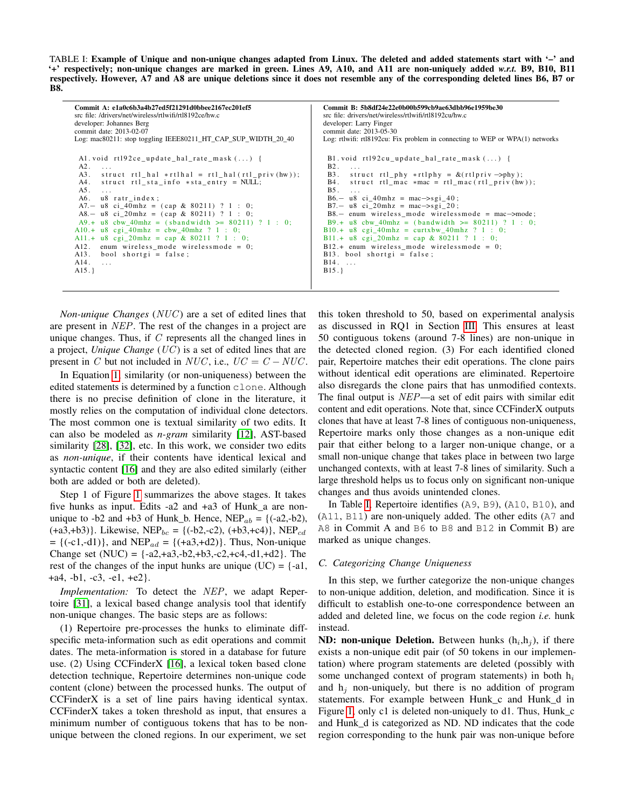<span id="page-2-0"></span>TABLE I: Example of Unique and non-unique changes adapted from Linux. The deleted and added statements start with '–' and '+' respectively; non-unique changes are marked in green. Lines A9, A10, and A11 are non-uniquely added *w.r.t.* B9, B10, B11 respectively. However, A7 and A8 are unique deletions since it does not resemble any of the corresponding deleted lines B6, B7 or B8.

| Commit A: e1a0c6b3a4b27ed5f21291d0bbee2167ec201ef5                                                                                                                                                                                                                                                                                                                                                                                                                                                                                                                                                                                              | Commit B: 5b8df24e22e0b00b599cb9ae63dbb96e1959be30                                                                                                                                                                                                                                                                                                                                                                                                                                                                                                                                       |
|-------------------------------------------------------------------------------------------------------------------------------------------------------------------------------------------------------------------------------------------------------------------------------------------------------------------------------------------------------------------------------------------------------------------------------------------------------------------------------------------------------------------------------------------------------------------------------------------------------------------------------------------------|------------------------------------------------------------------------------------------------------------------------------------------------------------------------------------------------------------------------------------------------------------------------------------------------------------------------------------------------------------------------------------------------------------------------------------------------------------------------------------------------------------------------------------------------------------------------------------------|
| src file: /drivers/net/wireless/rtlwifi/rtl8192ce/hw.c                                                                                                                                                                                                                                                                                                                                                                                                                                                                                                                                                                                          | src file: drivers/net/wireless/rtlwifi/rtl8192cu/hw.c                                                                                                                                                                                                                                                                                                                                                                                                                                                                                                                                    |
| developer: Johannes Berg                                                                                                                                                                                                                                                                                                                                                                                                                                                                                                                                                                                                                        | developer: Larry Finger                                                                                                                                                                                                                                                                                                                                                                                                                                                                                                                                                                  |
| commit date: 2013-02-07                                                                                                                                                                                                                                                                                                                                                                                                                                                                                                                                                                                                                         | commit date: 2013-05-30                                                                                                                                                                                                                                                                                                                                                                                                                                                                                                                                                                  |
| Log: mac80211: stop toggling IEEE80211_HT_CAP_SUP_WIDTH_20_40                                                                                                                                                                                                                                                                                                                                                                                                                                                                                                                                                                                   | Log: rtlwifi: rtl8192cu: Fix problem in connecting to WEP or WPA(1) networks                                                                                                                                                                                                                                                                                                                                                                                                                                                                                                             |
| A1. void rt192ce_update_hal_rate_mask $(\dots)$ {<br>A2.<br>$\cdots$<br>$A3$ .<br>struct rtl_hal $\ast$ rtlhal = rtl_hal(rtl_priv(hw));<br>A4.<br>struct rtl sta info $*$ sta entry = NULL;<br>A5.<br>$\sim$ $\sim$ $\sim$<br>u8 ratr_index;<br>A6.<br>A7. - u8 ci_40mhz = $(\text{cap } \& 80211)$ ? 1 : 0;<br>A8. - u8 ci_20mhz = $(\text{cap } \& 80211)$ ? 1 : 0;<br>A9.+ u8 cbw 40mhz = (sbandwidth >= $80211$ ) ? 1 : 0;<br>A10.+ $u8$ cgi_40mhz = cbw_40mhz ? 1 : 0;<br>A11.+ u8 cgi_20mhz = cap & 80211 ? 1 : 0;<br>enum wireless mode wirelessmode = $0$ ;<br>A12.<br>bool shortgi = $false$ ;<br>A13.<br>A14.<br>$\cdots$<br>$A15.$ } | B1. void rt192cu_update_hal_rate_mask $()$ {<br>$B2. \ldots$<br>B3. struct rtl_phy *rtlphy = $\&$ (rtlpriv ->phy);<br>B4. struct rtl_mac $*mac = rtl_mac(rtl_priv(hw));$<br>$B5. \ldots$<br>$B6 - u8$ ci_40mhz = mac->sgi_40;<br>$B7 - u8$ ci_20mhz = mac->sgi_20;<br>$B8 -$ enum wireless_mode wirelessmode = mac->mode;<br>B9.+ u8 cbw 40mhz = $(bandwidth > = 80211)$ ? 1 : 0;<br>$B10.+$ u8 cgi_40mhz = curtxbw_40mhz ? 1 : 0;<br>B11.+ u8 cgi_20mhz = cap & 80211 ? 1 : 0;<br>$B12.+$ enum wireless mode wirelessmode = 0;<br>$B13.$ bool shortgi = false;<br>$B14. \ldots$<br>B15. |

*Non-unique Changes* (*NUC*) are a set of edited lines that are present in NEP. The rest of the changes in a project are unique changes. Thus, if  $C$  represents all the changed lines in a project, *Unique Change* (UC ) is a set of edited lines that are present in C but not included in NUC, i.e.,  $UC = C - NUC$ .

In Equation [1,](#page-1-3) similarity (or non-uniqueness) between the edited statements is determined by a function clone. Although there is no precise definition of clone in the literature, it mostly relies on the computation of individual clone detectors. The most common one is textual similarity of two edits. It can also be modeled as *n-gram* similarity [\[12\]](#page-10-1), AST-based similarity [\[28\]](#page-10-2), [\[32\]](#page-10-4), etc. In this work, we consider two edits as *non-unique*, if their contents have identical lexical and syntactic content [\[16\]](#page-10-5) and they are also edited similarly (either both are added or both are deleted).

Step 1 of Figure [1](#page-3-1) summarizes the above stages. It takes five hunks as input. Edits -a2 and +a3 of Hunk\_a are nonunique to -b2 and +b3 of Hunk\_b. Hence,  $NEP_{ab} = {(-a2,-b2)}$ ,  $(+a3,+b3)$ . Likewise, NEP<sub>bc</sub> = {(-b2,-c2), (+b3,+c4)}, NEP<sub>cd</sub>  $= {(-c1,-d1)}$ , and NEP<sub>ad</sub> = { $(+a3,+d2)$ }. Thus, Non-unique Change set  $(NUC) = \{-a2, +a3, -b2, +b3, -c2, +c4, -d1, +d2\}$ . The rest of the changes of the input hunks are unique  $(UC) = \{-a\}$ ,  $+a4, -b1, -c3, -e1, +e2$ .

*Implementation:* To detect the NEP, we adapt Repertoire [\[31\]](#page-10-6), a lexical based change analysis tool that identify non-unique changes. The basic steps are as follows:

(1) Repertoire pre-processes the hunks to eliminate diffspecific meta-information such as edit operations and commit dates. The meta-information is stored in a database for future use. (2) Using CCFinderX [\[16\]](#page-10-5), a lexical token based clone detection technique, Repertoire determines non-unique code content (clone) between the processed hunks. The output of CCFinderX is a set of line pairs having identical syntax. CCFinderX takes a token threshold as input, that ensures a minimum number of contiguous tokens that has to be nonunique between the cloned regions. In our experiment, we set

this token threshold to 50, based on experimental analysis as discussed in RQ1 in Section [III.](#page-3-0) This ensures at least 50 contiguous tokens (around 7-8 lines) are non-unique in the detected cloned region. (3) For each identified cloned pair, Repertoire matches their edit operations. The clone pairs without identical edit operations are eliminated. Repertoire also disregards the clone pairs that has unmodified contexts. The final output is NEP—a set of edit pairs with similar edit content and edit operations. Note that, since CCFinderX outputs clones that have at least 7-8 lines of contiguous non-uniqueness, Repertoire marks only those changes as a non-unique edit pair that either belong to a larger non-unique change, or a small non-unique change that takes place in between two large unchanged contexts, with at least 7-8 lines of similarity. Such a large threshold helps us to focus only on significant non-unique changes and thus avoids unintended clones.

In Table [I,](#page-2-0) Repertoire identifies (A9, B9), (A10, B10), and (A11, B11) are non-uniquely added. The other edits (A7 and A8 in Commit A and B6 to B8 and B12 in Commit B) are marked as unique changes.

## <span id="page-2-1"></span>*C. Categorizing Change Uniqueness*

In this step, we further categorize the non-unique changes to non-unique addition, deletion, and modification. Since it is difficult to establish one-to-one correspondence between an added and deleted line, we focus on the code region *i.e.* hunk instead.

**ND: non-unique Deletion.** Between hunks  $(h_i, h_j)$ , if there exists a non-unique edit pair (of 50 tokens in our implementation) where program statements are deleted (possibly with some unchanged context of program statements) in both  $h_i$ and  $h_i$  non-uniquely, but there is no addition of program statements. For example between Hunk\_c and Hunk\_d in Figure [1,](#page-3-1) only c1 is deleted non-uniquely to d1. Thus, Hunk\_c and Hunk\_d is categorized as ND. ND indicates that the code region corresponding to the hunk pair was non-unique before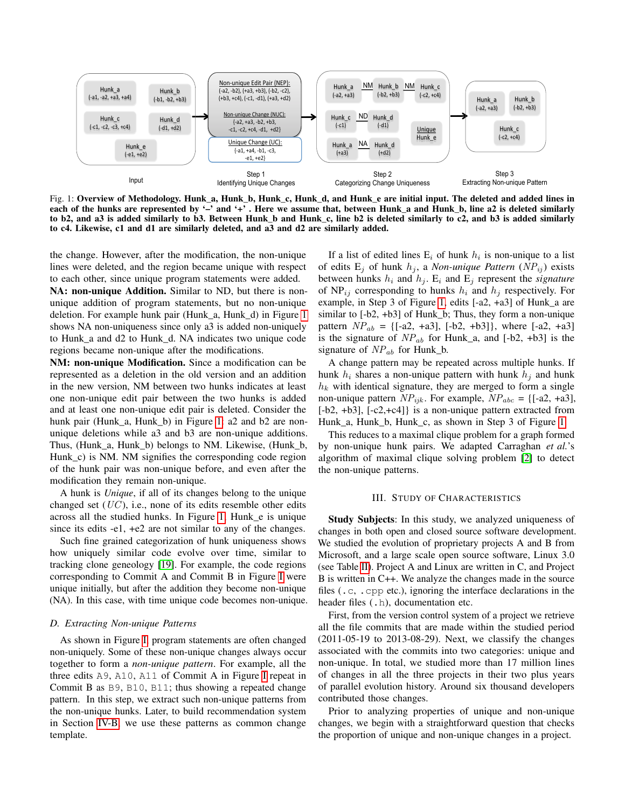<span id="page-3-1"></span>

Fig. 1: Overview of Methodology. Hunk a, Hunk b, Hunk c, Hunk d, and Hunk e are initial input. The deleted and added lines in each of the hunks are represented by '-' and '+'. Here we assume that, between Hunk\_a and Hunk\_b, line a2 is deleted similarly to b2, and a3 is added similarly to b3. Between Hunk\_b and Hunk\_c, line b2 is deleted similarly to c2, and b3 is added similarly to c4. Likewise, c1 and d1 are similarly deleted, and a3 and d2 are similarly added.

the change. However, after the modification, the non-unique lines were deleted, and the region became unique with respect to each other, since unique program statements were added.

NA: non-unique Addition. Similar to ND, but there is nonunique addition of program statements, but no non-unique deletion. For example hunk pair (Hunk\_a, Hunk\_d) in Figure [1](#page-3-1) shows NA non-uniqueness since only a3 is added non-uniquely to Hunk\_a and d2 to Hunk\_d. NA indicates two unique code regions became non-unique after the modifications.

NM: non-unique Modification. Since a modification can be represented as a deletion in the old version and an addition in the new version, NM between two hunks indicates at least one non-unique edit pair between the two hunks is added and at least one non-unique edit pair is deleted. Consider the hunk pair (Hunk\_a, Hunk\_b) in Figure [1:](#page-3-1) a2 and b2 are nonunique deletions while a3 and b3 are non-unique additions. Thus, (Hunk\_a, Hunk\_b) belongs to NM. Likewise, (Hunk\_b, Hunk c) is NM. NM signifies the corresponding code region of the hunk pair was non-unique before, and even after the modification they remain non-unique.

A hunk is *Unique*, if all of its changes belong to the unique changed set  $(UC)$ , i.e., none of its edits resemble other edits across all the studied hunks. In Figure [1,](#page-3-1) Hunk\_e is unique since its edits -e1, +e2 are not similar to any of the changes.

Such fine grained categorization of hunk uniqueness shows how uniquely similar code evolve over time, similar to tracking clone geneology [\[19\]](#page-10-7). For example, the code regions corresponding to Commit A and Commit B in Figure [I](#page-2-0) were unique initially, but after the addition they become non-unique (NA). In this case, with time unique code becomes non-unique.

## <span id="page-3-2"></span>*D. Extracting Non-unique Patterns*

As shown in Figure [I,](#page-2-0) program statements are often changed non-uniquely. Some of these non-unique changes always occur together to form a *non-unique pattern*. For example, all the three edits A9, A10, A11 of Commit A in Figure [I](#page-2-0) repeat in Commit B as B9, B10, B11; thus showing a repeated change pattern. In this step, we extract such non-unique patterns from the non-unique hunks. Later, to build recommendation system in Section [IV-B,](#page-7-0) we use these patterns as common change template.

If a list of edited lines  $E_i$  of hunk  $h_i$  is non-unique to a list of edits  $E_j$  of hunk  $h_j$ , a *Non-unique Pattern* (*NP*<sub>ij</sub>) exists between hunks  $h_i$  and  $h_j$ .  $E_i$  and  $E_j$  represent the *signature* of  $NP_{ij}$  corresponding to hunks  $h_i$  and  $h_j$  respectively. For example, in Step 3 of Figure [1,](#page-3-1) edits [-a2, +a3] of Hunk\_a are similar to [-b2, +b3] of Hunk\_b; Thus, they form a non-unique pattern  $NP_{ab} = \{[-a2, +a3], [-b2, +b3]\},$  where  $[-a2, +a3]$ is the signature of  $NP_{ab}$  for Hunk\_a, and [-b2, +b3] is the signature of  $NP_{ab}$  for Hunk b.

A change pattern may be repeated across multiple hunks. If hunk  $h_i$  shares a non-unique pattern with hunk  $h_j$  and hunk  $h_k$  with identical signature, they are merged to form a single non-unique pattern  $NP_{ijk}$ . For example,  $NP_{abc} = \{[-a2, +a3],$ [-b2, +b3], [-c2,+c4]} is a non-unique pattern extracted from Hunk\_a, Hunk\_b, Hunk\_c, as shown in Step 3 of Figure [1.](#page-3-1)

This reduces to a maximal clique problem for a graph formed by non-unique hunk pairs. We adapted Carraghan *et al.*'s algorithm of maximal clique solving problem [\[2\]](#page-10-8) to detect the non-unique patterns.

## III. STUDY OF CHARACTERISTICS

<span id="page-3-0"></span>Study Subjects: In this study, we analyzed uniqueness of changes in both open and closed source software development. We studied the evolution of proprietary projects A and B from Microsoft, and a large scale open source software, Linux 3.0 (see Table [II\)](#page-4-0). Project A and Linux are written in C, and Project B is written in C++. We analyze the changes made in the source files (.c, .cpp etc.), ignoring the interface declarations in the header files  $($ .h), documentation etc.

First, from the version control system of a project we retrieve all the file commits that are made within the studied period (2011-05-19 to 2013-08-29). Next, we classify the changes associated with the commits into two categories: unique and non-unique. In total, we studied more than 17 million lines of changes in all the three projects in their two plus years of parallel evolution history. Around six thousand developers contributed those changes.

Prior to analyzing properties of unique and non-unique changes, we begin with a straightforward question that checks the proportion of unique and non-unique changes in a project.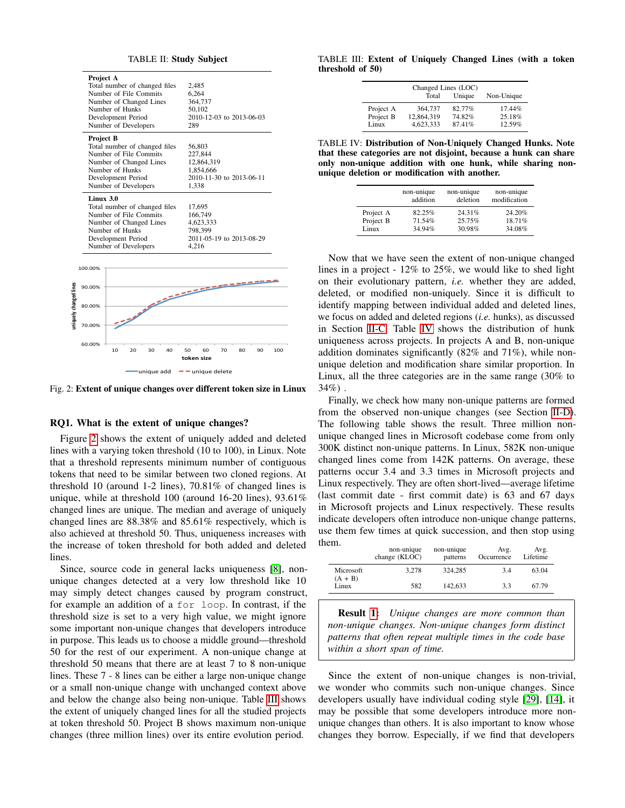<span id="page-4-0"></span>

<span id="page-4-1"></span>Fig. 2: Extent of unique changes over different token size in Linux

## <span id="page-4-4"></span>RQ1. What is the extent of unique changes?

Figure [2](#page-4-1) shows the extent of uniquely added and deleted lines with a varying token threshold (10 to 100), in Linux. Note that a threshold represents minimum number of contiguous tokens that need to be similar between two cloned regions. At threshold 10 (around 1-2 lines), 70.81% of changed lines is unique, while at threshold 100 (around 16-20 lines), 93.61% changed lines are unique. The median and average of uniquely changed lines are 88.38% and 85.61% respectively, which is also achieved at threshold 50. Thus, uniqueness increases with the increase of token threshold for both added and deleted lines.

Since, source code in general lacks uniqueness [\[8\]](#page-10-0), nonunique changes detected at a very low threshold like 10 may simply detect changes caused by program construct, for example an addition of a for loop. In contrast, if the threshold size is set to a very high value, we might ignore some important non-unique changes that developers introduce in purpose. This leads us to choose a middle ground—threshold 50 for the rest of our experiment. A non-unique change at threshold 50 means that there are at least 7 to 8 non-unique lines. These 7 - 8 lines can be either a large non-unique change or a small non-unique change with unchanged context above and below the change also being non-unique. Table [III](#page-4-2) shows the extent of uniquely changed lines for all the studied projects at token threshold 50. Project B shows maximum non-unique changes (three million lines) over its entire evolution period.

#### <span id="page-4-2"></span>TABLE III: Extent of Uniquely Changed Lines (with a token threshold of 50)

| Changed Lines (LOC) |            |        |            |  |
|---------------------|------------|--------|------------|--|
|                     | Total      | Unique | Non-Unique |  |
| Project A           | 364,737    | 82.77% | $17.44\%$  |  |
| Project B           | 12,864,319 | 74.82% | 25.18%     |  |
| Linux               | 4,623,333  | 87.41% | 12.59%     |  |

<span id="page-4-3"></span>TABLE IV: Distribution of Non-Uniquely Changed Hunks. Note that these categories are not disjoint, because a hunk can share only non-unique addition with one hunk, while sharing nonunique deletion or modification with another.

|           | non-unique<br>addition | non-unique<br>deletion | non-unique<br>modification |
|-----------|------------------------|------------------------|----------------------------|
| Project A | 82.25%                 | 24.31%                 | 24.20%                     |
| Project B | 71.54%                 | 25.75%                 | 18.71%                     |
| Linux     | 34.94%                 | 30.98%                 | 34.08%                     |

Now that we have seen the extent of non-unique changed lines in a project - 12% to 25%, we would like to shed light on their evolutionary pattern, *i.e.* whether they are added, deleted, or modified non-uniquely. Since it is difficult to identify mapping between individual added and deleted lines, we focus on added and deleted regions (*i.e.* hunks), as discussed in Section [II-C.](#page-2-1) Table [IV](#page-4-3) shows the distribution of hunk uniqueness across projects. In projects A and B, non-unique addition dominates significantly (82% and 71%), while nonunique deletion and modification share similar proportion. In Linux, all the three categories are in the same range (30% to  $34%$ ).

Finally, we check how many non-unique patterns are formed from the observed non-unique changes (see Section [II-D\)](#page-3-2). The following table shows the result. Three million nonunique changed lines in Microsoft codebase come from only 300K distinct non-unique patterns. In Linux, 582K non-unique changed lines come from 142K patterns. On average, these patterns occur 3.4 and 3.3 times in Microsoft projects and Linux respectively. They are often short-lived—average lifetime (last commit date - first commit date) is 63 and 67 days in Microsoft projects and Linux respectively. These results indicate developers often introduce non-unique change patterns, use them few times at quick succession, and then stop using them.

|                        | non-unique<br>change (KLOC) | non-unique<br>patterns | Avg.<br>Occurrence | Avg.<br>Lifetime |
|------------------------|-----------------------------|------------------------|--------------------|------------------|
| Microsoft<br>$(A + B)$ | 3.278                       | 324,285                | 3.4                | 63.04            |
| Linux                  | 582                         | 142,633                | 3.3                | 67.79            |

Result [1:](#page-4-4) *Unique changes are more common than non-unique changes. Non-unique changes form distinct patterns that often repeat multiple times in the code base within a short span of time.*

Since the extent of non-unique changes is non-trivial, we wonder who commits such non-unique changes. Since developers usually have individual coding style [\[29\]](#page-10-9), [\[14\]](#page-10-10), it may be possible that some developers introduce more nonunique changes than others. It is also important to know whose changes they borrow. Especially, if we find that developers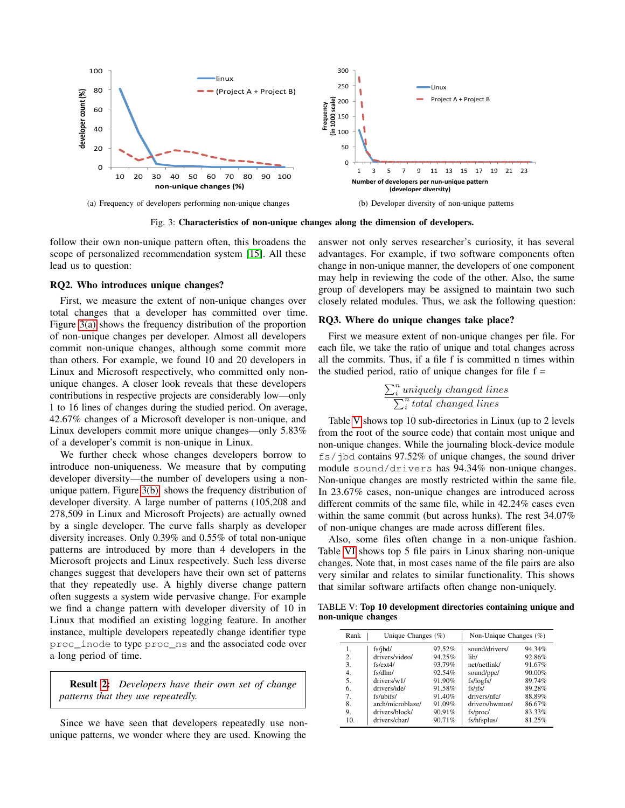<span id="page-5-0"></span>

Fig. 3: Characteristics of non-unique changes along the dimension of developers.

follow their own non-unique pattern often, this broadens the scope of personalized recommendation system [\[15\]](#page-10-11). All these lead us to question:

## <span id="page-5-2"></span>RQ2. Who introduces unique changes?

First, we measure the extent of non-unique changes over total changes that a developer has committed over time. Figure [3\(a\)](#page-5-0) shows the frequency distribution of the proportion of non-unique changes per developer. Almost all developers commit non-unique changes, although some commit more than others. For example, we found 10 and 20 developers in Linux and Microsoft respectively, who committed only nonunique changes. A closer look reveals that these developers contributions in respective projects are considerably low—only 1 to 16 lines of changes during the studied period. On average, 42.67% changes of a Microsoft developer is non-unique, and Linux developers commit more unique changes—only 5.83% of a developer's commit is non-unique in Linux.

We further check whose changes developers borrow to introduce non-uniqueness. We measure that by computing developer diversity—the number of developers using a nonunique pattern. Figure [3\(b\)](#page-5-1) shows the frequency distribution of developer diversity. A large number of patterns (105,208 and 278,509 in Linux and Microsoft Projects) are actually owned by a single developer. The curve falls sharply as developer diversity increases. Only 0.39% and 0.55% of total non-unique patterns are introduced by more than 4 developers in the Microsoft projects and Linux respectively. Such less diverse changes suggest that developers have their own set of patterns that they repeatedly use. A highly diverse change pattern often suggests a system wide pervasive change. For example we find a change pattern with developer diversity of 10 in Linux that modified an existing logging feature. In another instance, multiple developers repeatedly change identifier type proc\_inode to type proc\_ns and the associated code over a long period of time.

Result [2:](#page-5-2) *Developers have their own set of change patterns that they use repeatedly.*

Since we have seen that developers repeatedly use nonunique patterns, we wonder where they are used. Knowing the

<span id="page-5-1"></span>answer not only serves researcher's curiosity, it has several advantages. For example, if two software components often change in non-unique manner, the developers of one component may help in reviewing the code of the other. Also, the same group of developers may be assigned to maintain two such closely related modules. Thus, we ask the following question:

## <span id="page-5-4"></span>RQ3. Where do unique changes take place?

First we measure extent of non-unique changes per file. For each file, we take the ratio of unique and total changes across all the commits. Thus, if a file f is committed n times within the studied period, ratio of unique changes for file  $f =$ 

$$
\frac{\sum_{i}^{n}uniquely changed lines}{\sum_{i}^{n}total changed lines}
$$

Table [V](#page-5-3) shows top 10 sub-directories in Linux (up to 2 levels from the root of the source code) that contain most unique and non-unique changes. While the journaling block-device module fs/jbd contains 97.52% of unique changes, the sound driver module sound/drivers has 94.34% non-unique changes. Non-unique changes are mostly restricted within the same file. In 23.67% cases, non-unique changes are introduced across different commits of the same file, while in 42.24% cases even within the same commit (but across hunks). The rest 34.07% of non-unique changes are made across different files.

Also, some files often change in a non-unique fashion. Table [VI](#page-6-1) shows top 5 file pairs in Linux sharing non-unique changes. Note that, in most cases name of the file pairs are also very similar and relates to similar functionality. This shows that similar software artifacts often change non-uniquely.

<span id="page-5-3"></span>TABLE V: Top 10 development directories containing unique and non-unique changes

| Unique Changes $(\%)$<br>Rank |                  | Non-Unique Changes $(\%)$ |                |        |
|-------------------------------|------------------|---------------------------|----------------|--------|
| 1.                            | fs/jbd/          | 97.52%                    | sound/drivers/ | 94.34% |
| 2.                            | drivers/video/   | 94.25%                    | lib/           | 92.86% |
| 3.                            | fs/ext4/         | 93.79%                    | net/netlink/   | 91.67% |
| 4.                            | fs/dlm/          | 92.54%                    | sound/ppc/     | 90.00% |
| 5.                            | drivers/w1/      | 91.90%                    | fs/logfs/      | 89.74% |
| 6.                            | drivers/ide/     | 91.58%                    | fs/jfs/        | 89.28% |
| 7.                            | fs/ubifs/        | 91.40%                    | drivers/nfc/   | 88.89% |
| 8.                            | arch/microblaze/ | 91.09%                    | drivers/hwmon/ | 86.67% |
| 9.                            | drivers/block/   | 90.91%                    | fs/proc/       | 83.33% |
| 10.                           | drivers/char/    | 90.71%                    | fs/hfsplus/    | 81.25% |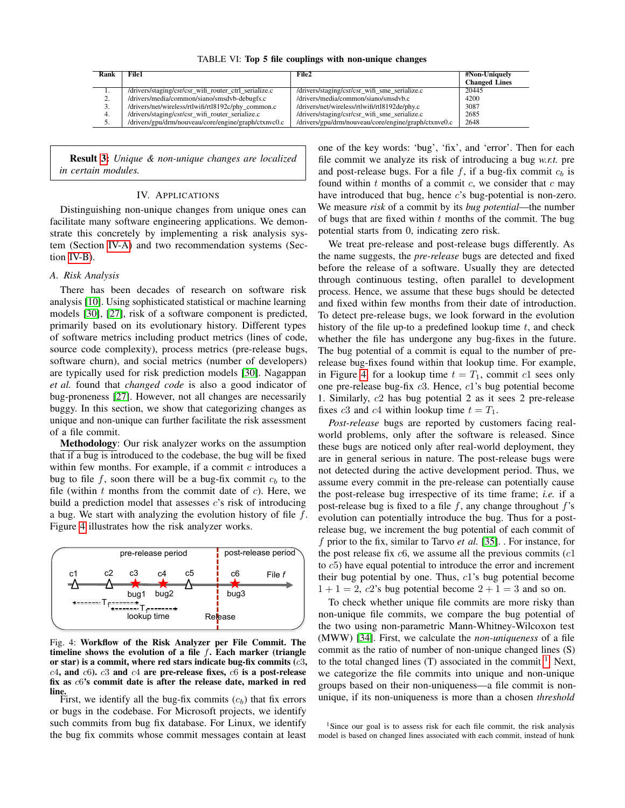TABLE VI: Top 5 file couplings with non-unique changes

<span id="page-6-1"></span>

| Rank      | File1                                                 | File2                                                | #Non-Uniquely        |
|-----------|-------------------------------------------------------|------------------------------------------------------|----------------------|
|           |                                                       |                                                      | <b>Changed Lines</b> |
| 1.        | /drivers/staging/csr/csr_wifi_router_ctrl_serialize.c | /drivers/staging/csr/csr_wifi_sme_serialize.c        | 20445                |
| <u>L.</u> | /drivers/media/common/siano/smsdvb-debugfs.c          | /drivers/media/common/siano/smsdvb.c                 | 4200                 |
|           | /drivers/net/wireless/rtlwifi/rtl8192c/phy common.c   | /drivers/net/wireless/rtlwifi/rtl8192de/phy.c        | 3087                 |
| -4.       | /drivers/staging/csr/csr_wifi_router_serialize.c      | /drivers/staging/csr/csr_wifi_sme_serialize.c        | 2685                 |
| . .       | /drivers/gpu/drm/nouveau/core/engine/graph/ctxnvc0.c  | /drivers/gpu/drm/nouveau/core/engine/graph/ctxnve0.c | 2648                 |
|           |                                                       |                                                      |                      |

Result [3:](#page-5-4) *Unique & non-unique changes are localized in certain modules.*

## IV. APPLICATIONS

Distinguishing non-unique changes from unique ones can facilitate many software engineering applications. We demonstrate this concretely by implementing a risk analysis system (Section [IV-A\)](#page-6-0) and two recommendation systems (Section [IV-B\)](#page-7-0).

## <span id="page-6-0"></span>*A. Risk Analysis*

There has been decades of research on software risk analysis [\[10\]](#page-10-12). Using sophisticated statistical or machine learning models [\[30\]](#page-10-13), [\[27\]](#page-10-14), risk of a software component is predicted, primarily based on its evolutionary history. Different types of software metrics including product metrics (lines of code, source code complexity), process metrics (pre-release bugs, software churn), and social metrics (number of developers) are typically used for risk prediction models [\[30\]](#page-10-13). Nagappan *et al.* found that *changed code* is also a good indicator of bug-proneness [\[27\]](#page-10-14). However, not all changes are necessarily buggy. In this section, we show that categorizing changes as unique and non-unique can further facilitate the risk assessment of a file commit.

Methodology: Our risk analyzer works on the assumption that if a bug is introduced to the codebase, the bug will be fixed within few months. For example, if a commit  $c$  introduces a bug to file f, soon there will be a bug-fix commit  $c<sub>b</sub>$  to the file (within  $t$  months from the commit date of  $c$ ). Here, we build a prediction model that assesses  $c$ 's risk of introducing a bug. We start with analyzing the evolution history of file  $f$ . Figure [4](#page-6-2) illustrates how the risk analyzer works.

<span id="page-6-2"></span>

Fig. 4: Workflow of the Risk Analyzer per File Commit. The timeline shows the evolution of a file  $f$ . Each marker (triangle or star) is a commit, where red stars indicate bug-fix commits  $(c3,$  $c4$ , and  $c6$ ).  $c3$  and  $c4$  are pre-release fixes,  $c6$  is a post-release fix as c6's commit date is after the release date, marked in red **line.**<br>First, we identify all the bug-fix commits  $(c_b)$  that fix errors

or bugs in the codebase. For Microsoft projects, we identify such commits from bug fix database. For Linux, we identify the bug fix commits whose commit messages contain at least

one of the key words: 'bug', 'fix', and 'error'. Then for each file commit we analyze its risk of introducing a bug *w.r.t.* pre and post-release bugs. For a file f, if a bug-fix commit  $c<sub>b</sub>$  is found within  $t$  months of a commit  $c$ , we consider that  $c$  may have introduced that bug, hence c's bug-potential is non-zero. We measure *risk* of a commit by its *bug potential*—the number of bugs that are fixed within  $t$  months of the commit. The bug potential starts from 0, indicating zero risk.

We treat pre-release and post-release bugs differently. As the name suggests, the *pre-release* bugs are detected and fixed before the release of a software. Usually they are detected through continuous testing, often parallel to development process. Hence, we assume that these bugs should be detected and fixed within few months from their date of introduction. To detect pre-release bugs, we look forward in the evolution history of the file up-to a predefined lookup time  $t$ , and check whether the file has undergone any bug-fixes in the future. The bug potential of a commit is equal to the number of prerelease bug-fixes found within that lookup time. For example, in Figure [4,](#page-6-2) for a lookup time  $t = T_1$ , commit c1 sees only one pre-release bug-fix c3. Hence, c1's bug potential become 1. Similarly, c2 has bug potential 2 as it sees 2 pre-release fixes c3 and c4 within lookup time  $t = T_1$ .

*Post-release* bugs are reported by customers facing realworld problems, only after the software is released. Since these bugs are noticed only after real-world deployment, they are in general serious in nature. The post-release bugs were not detected during the active development period. Thus, we assume every commit in the pre-release can potentially cause the post-release bug irrespective of its time frame; *i.e.* if a post-release bug is fixed to a file  $f$ , any change throughout  $f$ 's evolution can potentially introduce the bug. Thus for a postrelease bug, we increment the bug potential of each commit of f prior to the fix, similar to Tarvo *et al.* [\[35\]](#page-10-15). . For instance, for the post release fix  $c6$ , we assume all the previous commits  $(c1)$ to c5) have equal potential to introduce the error and increment their bug potential by one. Thus,  $c1$ 's bug potential become  $1 + 1 = 2$ , c2's bug potential become  $2 + 1 = 3$  and so on.

To check whether unique file commits are more risky than non-unique file commits, we compare the bug potential of the two using non-parametric Mann-Whitney-Wilcoxon test (MWW) [\[34\]](#page-10-16). First, we calculate the *non-uniqueness* of a file commit as the ratio of number of non-unique changed lines (S) to the total changed lines  $(T)$  associated in the commit  $<sup>1</sup>$  $<sup>1</sup>$  $<sup>1</sup>$ . Next,</sup> we categorize the file commits into unique and non-unique groups based on their non-uniqueness—a file commit is nonunique, if its non-uniqueness is more than a chosen *threshold*

<span id="page-6-3"></span><sup>&</sup>lt;sup>1</sup>Since our goal is to assess risk for each file commit, the risk analysis model is based on changed lines associated with each commit, instead of hunk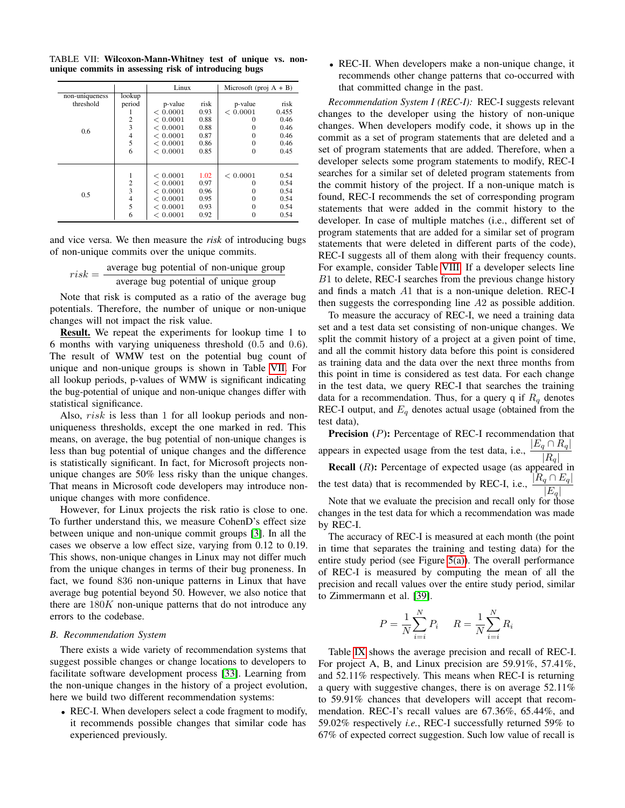<span id="page-7-1"></span>TABLE VII: Wilcoxon-Mann-Whitney test of unique vs. nonunique commits in assessing risk of introducing bugs

|                |                | Linux    |      | Microsoft (proj $A + B$ ) |       |
|----------------|----------------|----------|------|---------------------------|-------|
| non-uniqueness | lookup         |          |      |                           |       |
| threshold      | period         | p-value  | risk | p-value                   | risk  |
|                |                | < 0.0001 | 0.93 | < 0.0001                  | 0.455 |
|                | $\overline{c}$ | < 0.0001 | 0.88 | $\Omega$                  | 0.46  |
| 0.6            | 3              | < 0.0001 | 0.88 | $\Omega$                  | 0.46  |
|                | 4              | < 0.0001 | 0.87 | 0                         | 0.46  |
|                | 5              | < 0.0001 | 0.86 | $\theta$                  | 0.46  |
|                | 6              | < 0.0001 | 0.85 | $\theta$                  | 0.45  |
|                |                |          |      |                           |       |
|                | 1              | < 0.0001 | 1.02 | < 0.0001                  | 0.54  |
| 0.5            | $\overline{c}$ | < 0.0001 | 0.97 | $\Omega$                  | 0.54  |
|                | 3              | < 0.0001 | 0.96 | 0                         | 0.54  |
|                | 4              | < 0.0001 | 0.95 | $\theta$                  | 0.54  |
|                | 5              | < 0.0001 | 0.93 | $\theta$                  | 0.54  |
|                | 6              | < 0.0001 | 0.92 | 0                         | 0.54  |

and vice versa. We then measure the *risk* of introducing bugs of non-unique commits over the unique commits.

| $risk = -$ | average bug potential of non-unique group |
|------------|-------------------------------------------|
|            | average bug potential of unique group     |

Note that risk is computed as a ratio of the average bug potentials. Therefore, the number of unique or non-unique changes will not impact the risk value.

Result. We repeat the experiments for lookup time 1 to 6 months with varying uniqueness threshold (0.5 and 0.6). The result of WMW test on the potential bug count of unique and non-unique groups is shown in Table [VII.](#page-7-1) For all lookup periods, p-values of WMW is significant indicating the bug-potential of unique and non-unique changes differ with statistical significance.

Also, risk is less than 1 for all lookup periods and nonuniqueness thresholds, except the one marked in red. This means, on average, the bug potential of non-unique changes is less than bug potential of unique changes and the difference is statistically significant. In fact, for Microsoft projects nonunique changes are 50% less risky than the unique changes. That means in Microsoft code developers may introduce nonunique changes with more confidence.

However, for Linux projects the risk ratio is close to one. To further understand this, we measure CohenD's effect size between unique and non-unique commit groups [\[3\]](#page-10-17). In all the cases we observe a low effect size, varying from 0.12 to 0.19. This shows, non-unique changes in Linux may not differ much from the unique changes in terms of their bug proneness. In fact, we found 836 non-unique patterns in Linux that have average bug potential beyond 50. However, we also notice that there are  $180K$  non-unique patterns that do not introduce any errors to the codebase.

#### <span id="page-7-0"></span>*B. Recommendation System*

There exists a wide variety of recommendation systems that suggest possible changes or change locations to developers to facilitate software development process [\[33\]](#page-10-18). Learning from the non-unique changes in the history of a project evolution, here we build two different recommendation systems:

• REC-I. When developers select a code fragment to modify, it recommends possible changes that similar code has experienced previously.

• REC-II. When developers make a non-unique change, it recommends other change patterns that co-occurred with that committed change in the past.

*Recommendation System I (REC-I):* REC-I suggests relevant changes to the developer using the history of non-unique changes. When developers modify code, it shows up in the commit as a set of program statements that are deleted and a set of program statements that are added. Therefore, when a developer selects some program statements to modify, REC-I searches for a similar set of deleted program statements from the commit history of the project. If a non-unique match is found, REC-I recommends the set of corresponding program statements that were added in the commit history to the developer. In case of multiple matches (i.e., different set of program statements that are added for a similar set of program statements that were deleted in different parts of the code), REC-I suggests all of them along with their frequency counts. For example, consider Table [VIII.](#page-9-0) If a developer selects line B1 to delete, REC-I searches from the previous change history and finds a match A1 that is a non-unique deletion. REC-I then suggests the corresponding line A2 as possible addition.

To measure the accuracy of REC-I, we need a training data set and a test data set consisting of non-unique changes. We split the commit history of a project at a given point of time, and all the commit history data before this point is considered as training data and the data over the next three months from this point in time is considered as test data. For each change in the test data, we query REC-I that searches the training data for a recommendation. Thus, for a query q if  $R_q$  denotes REC-I output, and  $E_q$  denotes actual usage (obtained from the test data),

Precision (P): Percentage of REC-I recommendation that appears in expected usage from the test data, i.e.,  $\frac{|E_q \cap R_q|}{|R_q|}$ **Recall**  $(R)$ : Percentage of expected usage (as appeared in the test data) that is recommended by REC-I, i.e.,  $\frac{|R_q \cap E_q|}{|E_q|}$ 

Note that we evaluate the precision and recall only for those changes in the test data for which a recommendation was made by REC-I.

The accuracy of REC-I is measured at each month (the point in time that separates the training and testing data) for the entire study period (see Figure [5\(a\)\)](#page-8-0). The overall performance of REC-I is measured by computing the mean of all the precision and recall values over the entire study period, similar to Zimmermann et al. [\[39\]](#page-10-19).

$$
P = \frac{1}{N} \sum_{i=i}^{N} P_i \qquad R = \frac{1}{N} \sum_{i=i}^{N} R_i
$$

Table [IX](#page-8-1) shows the average precision and recall of REC-I. For project A, B, and Linux precision are 59.91%, 57.41%, and 52.11% respectively. This means when REC-I is returning a query with suggestive changes, there is on average 52.11% to 59.91% chances that developers will accept that recommendation. REC-I's recall values are 67.36%, 65.44%, and 59.02% respectively *i.e.*, REC-I successfully returned 59% to 67% of expected correct suggestion. Such low value of recall is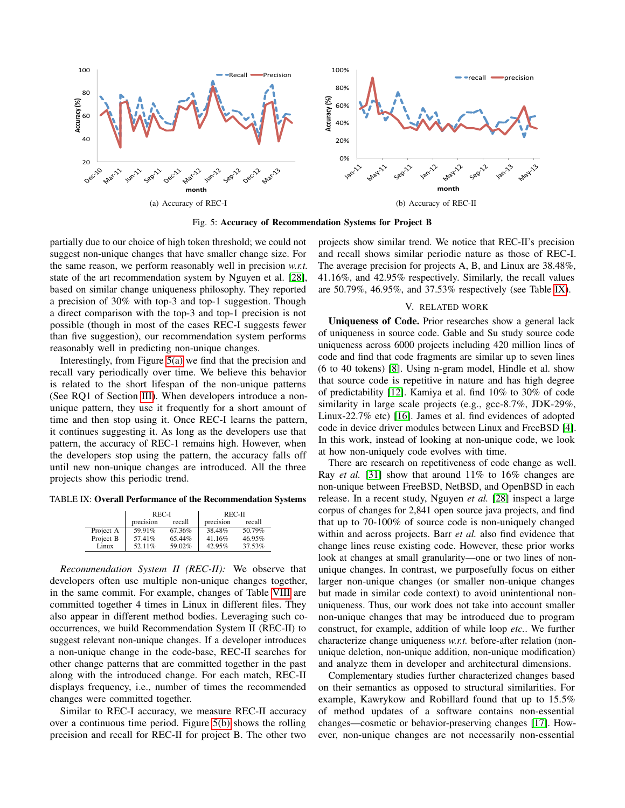<span id="page-8-0"></span>

Fig. 5: Accuracy of Recommendation Systems for Project B

partially due to our choice of high token threshold; we could not suggest non-unique changes that have smaller change size. For the same reason, we perform reasonably well in precision *w.r.t.* state of the art recommendation system by Nguyen et al. [\[28\]](#page-10-2), based on similar change uniqueness philosophy. They reported a precision of 30% with top-3 and top-1 suggestion. Though a direct comparison with the top-3 and top-1 precision is not possible (though in most of the cases REC-I suggests fewer than five suggestion), our recommendation system performs reasonably well in predicting non-unique changes.

Interestingly, from Figure [5\(a\)](#page-8-0) we find that the precision and recall vary periodically over time. We believe this behavior is related to the short lifespan of the non-unique patterns (See RQ1 of Section [III\)](#page-3-0). When developers introduce a nonunique pattern, they use it frequently for a short amount of time and then stop using it. Once REC-I learns the pattern, it continues suggesting it. As long as the developers use that pattern, the accuracy of REC-1 remains high. However, when the developers stop using the pattern, the accuracy falls off until new non-unique changes are introduced. All the three projects show this periodic trend.

<span id="page-8-1"></span>TABLE IX: Overall Performance of the Recommendation Systems

|           | REC-I     |        | REC-II    |        |
|-----------|-----------|--------|-----------|--------|
|           | precision | recall | precision | recall |
| Project A | 59.91%    | 67.36% | 38.48%    | 50.79% |
| Project B | 57.41%    | 65.44% | 41.16%    | 46.95% |
| Linux     | 52.11%    | 59.02% | 42.95%    | 37.53% |

*Recommendation System II (REC-II):* We observe that developers often use multiple non-unique changes together, in the same commit. For example, changes of Table [VIII](#page-9-0) are committed together 4 times in Linux in different files. They also appear in different method bodies. Leveraging such cooccurrences, we build Recommendation System II (REC-II) to suggest relevant non-unique changes. If a developer introduces a non-unique change in the code-base, REC-II searches for other change patterns that are committed together in the past along with the introduced change. For each match, REC-II displays frequency, i.e., number of times the recommended changes were committed together.

Similar to REC-I accuracy, we measure REC-II accuracy over a continuous time period. Figure [5\(b\)](#page-8-2) shows the rolling precision and recall for REC-II for project B. The other two

<span id="page-8-2"></span>projects show similar trend. We notice that REC-II's precision and recall shows similar periodic nature as those of REC-I. The average precision for projects A, B, and Linux are 38.48%, 41.16%, and 42.95% respectively. Similarly, the recall values are 50.79%, 46.95%, and 37.53% respectively (see Table [IX\)](#page-8-1).

#### V. RELATED WORK

Uniqueness of Code. Prior researches show a general lack of uniqueness in source code. Gable and Su study source code uniqueness across 6000 projects including 420 million lines of code and find that code fragments are similar up to seven lines (6 to 40 tokens) [\[8\]](#page-10-0). Using n-gram model, Hindle et al. show that source code is repetitive in nature and has high degree of predictability [\[12\]](#page-10-1). Kamiya et al. find 10% to 30% of code similarity in large scale projects (e.g., gcc-8.7%, JDK-29%, Linux-22.7% etc) [\[16\]](#page-10-5). James et al. find evidences of adopted code in device driver modules between Linux and FreeBSD [\[4\]](#page-10-20). In this work, instead of looking at non-unique code, we look at how non-uniquely code evolves with time.

There are research on repetitiveness of code change as well. Ray *et al.* [\[31\]](#page-10-6) show that around 11% to 16% changes are non-unique between FreeBSD, NetBSD, and OpenBSD in each release. In a recent study, Nguyen *et al.* [\[28\]](#page-10-2) inspect a large corpus of changes for 2,841 open source java projects, and find that up to 70-100% of source code is non-uniquely changed within and across projects. Barr *et al.* also find evidence that change lines reuse existing code. However, these prior works look at changes at small granularity—one or two lines of nonunique changes. In contrast, we purposefully focus on either larger non-unique changes (or smaller non-unique changes but made in similar code context) to avoid unintentional nonuniqueness. Thus, our work does not take into account smaller non-unique changes that may be introduced due to program construct, for example, addition of while loop *etc.*. We further characterize change uniqueness *w.r.t.* before-after relation (nonunique deletion, non-unique addition, non-unique modification) and analyze them in developer and architectural dimensions.

Complementary studies further characterized changes based on their semantics as opposed to structural similarities. For example, Kawrykow and Robillard found that up to 15.5% of method updates of a software contains non-essential changes—cosmetic or behavior-preserving changes [\[17\]](#page-10-21). However, non-unique changes are not necessarily non-essential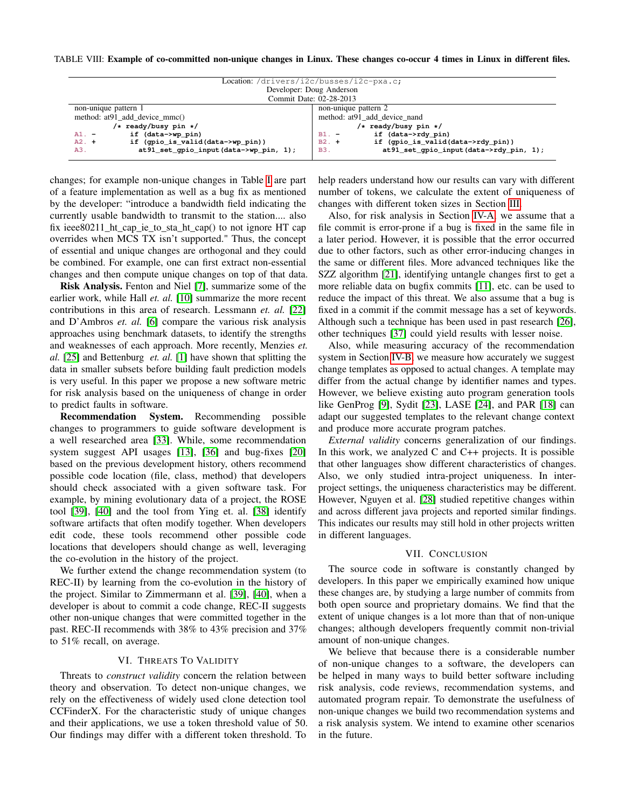#### <span id="page-9-0"></span>TABLE VIII: Example of co-committed non-unique changes in Linux. These changes co-occur 4 times in Linux in different files.

| Location: /drivers/i2c/busses/i2c-pxa.c;                       |                                                       |  |  |
|----------------------------------------------------------------|-------------------------------------------------------|--|--|
| Developer: Doug Anderson                                       |                                                       |  |  |
| Commit Date: 02-28-2013                                        |                                                       |  |  |
| non-unique pattern 2<br>non-unique pattern 1                   |                                                       |  |  |
| method: at 91 add device mmc()<br>method: at91 add device nand |                                                       |  |  |
| $/*$ ready/busy pin */                                         | $/*$ ready/busy pin */                                |  |  |
| if (data->wp pin)<br>$A1. -$                                   | if (data->rdy pin)<br>$B1. -$                         |  |  |
| if (gpio_is_valid(data->wp_pin))<br>$A2. +$                    | if (gpio_is_valid(data->rdy_pin))<br>$B2. +$          |  |  |
| at 91_set_qpio_input(data->wp_pin, 1);<br>A3.                  | at 91_set_qpio_input(data->rdy_pin, 1);<br><b>B3.</b> |  |  |

changes; for example non-unique changes in Table [I](#page-2-0) are part of a feature implementation as well as a bug fix as mentioned by the developer: "introduce a bandwidth field indicating the currently usable bandwidth to transmit to the station.... also fix ieee80211\_ht\_cap\_ie\_to\_sta\_ht\_cap() to not ignore HT cap overrides when MCS TX isn't supported." Thus, the concept of essential and unique changes are orthogonal and they could be combined. For example, one can first extract non-essential changes and then compute unique changes on top of that data.

Risk Analysis. Fenton and Niel [\[7\]](#page-10-22), summarize some of the earlier work, while Hall *et. al.* [\[10\]](#page-10-12) summarize the more recent contributions in this area of research. Lessmann *et. al.* [\[22\]](#page-10-23) and D'Ambros *et. al.* [\[6\]](#page-10-24) compare the various risk analysis approaches using benchmark datasets, to identify the strengths and weaknesses of each approach. More recently, Menzies *et. al.* [\[25\]](#page-10-25) and Bettenburg *et. al.* [\[1\]](#page-10-26) have shown that splitting the data in smaller subsets before building fault prediction models is very useful. In this paper we propose a new software metric for risk analysis based on the uniqueness of change in order to predict faults in software.

Recommendation System. Recommending possible changes to programmers to guide software development is a well researched area [\[33\]](#page-10-18). While, some recommendation system suggest API usages [\[13\]](#page-10-27), [\[36\]](#page-10-28) and bug-fixes [\[20\]](#page-10-29) based on the previous development history, others recommend possible code location (file, class, method) that developers should check associated with a given software task. For example, by mining evolutionary data of a project, the ROSE tool [\[39\]](#page-10-19), [\[40\]](#page-10-30) and the tool from Ying et. al. [\[38\]](#page-10-31) identify software artifacts that often modify together. When developers edit code, these tools recommend other possible code locations that developers should change as well, leveraging the co-evolution in the history of the project.

We further extend the change recommendation system (to REC-II) by learning from the co-evolution in the history of the project. Similar to Zimmermann et al. [\[39\]](#page-10-19), [\[40\]](#page-10-30), when a developer is about to commit a code change, REC-II suggests other non-unique changes that were committed together in the past. REC-II recommends with 38% to 43% precision and 37% to 51% recall, on average.

## VI. THREATS TO VALIDITY

Threats to *construct validity* concern the relation between theory and observation. To detect non-unique changes, we rely on the effectiveness of widely used clone detection tool CCFinderX. For the characteristic study of unique changes and their applications, we use a token threshold value of 50. Our findings may differ with a different token threshold. To

help readers understand how our results can vary with different number of tokens, we calculate the extent of uniqueness of changes with different token sizes in Section [III.](#page-3-0)

Also, for risk analysis in Section [IV-A,](#page-6-0) we assume that a file commit is error-prone if a bug is fixed in the same file in a later period. However, it is possible that the error occurred due to other factors, such as other error-inducing changes in the same or different files. More advanced techniques like the SZZ algorithm [\[21\]](#page-10-32), identifying untangle changes first to get a more reliable data on bugfix commits [\[11\]](#page-10-33), etc. can be used to reduce the impact of this threat. We also assume that a bug is fixed in a commit if the commit message has a set of keywords. Although such a technique has been used in past research [\[26\]](#page-10-34), other techniques [\[37\]](#page-10-35) could yield results with lesser noise.

Also, while measuring accuracy of the recommendation system in Section [IV-B,](#page-7-0) we measure how accurately we suggest change templates as opposed to actual changes. A template may differ from the actual change by identifier names and types. However, we believe existing auto program generation tools like GenProg [\[9\]](#page-10-36), Sydit [\[23\]](#page-10-37), LASE [\[24\]](#page-10-38), and PAR [\[18\]](#page-10-39) can adapt our suggested templates to the relevant change context and produce more accurate program patches.

*External validity* concerns generalization of our findings. In this work, we analyzed  $C$  and  $C++$  projects. It is possible that other languages show different characteristics of changes. Also, we only studied intra-project uniqueness. In interproject settings, the uniqueness characteristics may be different. However, Nguyen et al. [\[28\]](#page-10-2) studied repetitive changes within and across different java projects and reported similar findings. This indicates our results may still hold in other projects written in different languages.

## VII. CONCLUSION

The source code in software is constantly changed by developers. In this paper we empirically examined how unique these changes are, by studying a large number of commits from both open source and proprietary domains. We find that the extent of unique changes is a lot more than that of non-unique changes; although developers frequently commit non-trivial amount of non-unique changes.

We believe that because there is a considerable number of non-unique changes to a software, the developers can be helped in many ways to build better software including risk analysis, code reviews, recommendation systems, and automated program repair. To demonstrate the usefulness of non-unique changes we build two recommendation systems and a risk analysis system. We intend to examine other scenarios in the future.